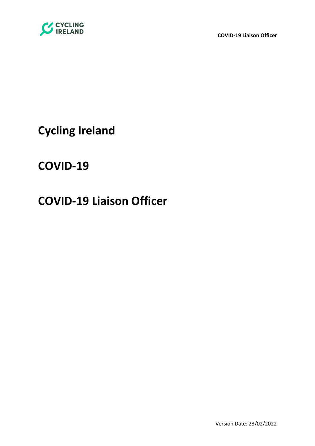

**COVID-19 Liaison Officer**

**Cycling Ireland**

**COVID-19** 

# **COVID-19 Liaison Officer**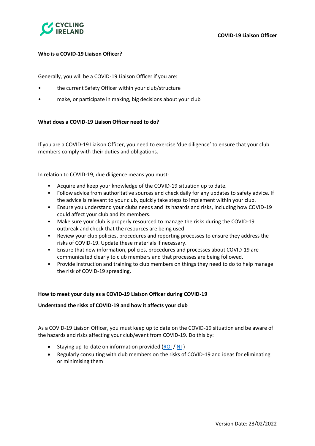

# **Who is a COVID-19 Liaison Officer?**

Generally, you will be a COVID-19 Liaison Officer if you are:

- the current Safety Officer within your club/structure
- make, or participate in making, big decisions about your club

# **What does a COVID-19 Liaison Officer need to do?**

If you are a COVID-19 Liaison Officer, you need to exercise 'due diligence' to ensure that your club members comply with their duties and obligations.

In relation to COVID-19, due diligence means you must:

- Acquire and keep your knowledge of the COVID-19 situation up to date.
- Follow advice from authoritative sources and check daily for any updates to safety advice. If the advice is relevant to your club, quickly take steps to implement within your club.
- Ensure you understand your clubs needs and its hazards and risks, including how COVID-19 could affect your club and its members.
- Make sure your club is properly resourced to manage the risks during the COVID-19 outbreak and check that the resources are being used.
- Review your club policies, procedures and reporting processes to ensure they address the risks of COVID-19. Update these materials if necessary.
- Ensure that new information, policies, procedures and processes about COVID-19 are communicated clearly to club members and that processes are being followed.
- Provide instruction and training to club members on things they need to do to help manage the risk of COVID-19 spreading.

# **How to meet your duty as a COVID-19 Liaison Officer during COVID-19**

# **Understand the risks of COVID-19 and how it affects your club**

As a COVID-19 Liaison Officer, you must keep up to date on the COVID-19 situation and be aware of the hazards and risks affecting your club/event from COVID-19. Do this by:

- Staying up-to-date on information provided  $(ROL / NI)$  $(ROL / NI)$  $(ROL / NI)$
- Regularly consulting with club members on the risks of COVID-19 and ideas for eliminating or minimising them